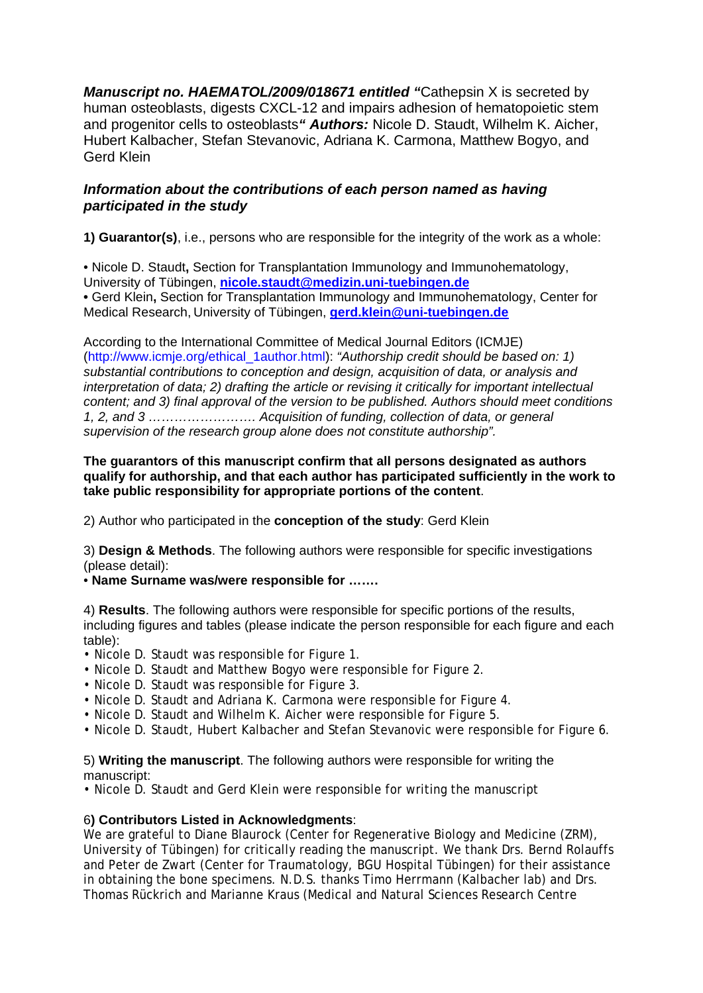*Manuscript no. HAEMATOL/2009/018671 entitled "*Cathepsin X is secreted by human osteoblasts, digests CXCL-12 and impairs adhesion of hematopoietic stem and progenitor cells to osteoblasts*" Authors:* Nicole D. Staudt, Wilhelm K. Aicher, Hubert Kalbacher, Stefan Stevanovic, Adriana K. Carmona, Matthew Bogyo, and Gerd Klein

## *Information about the contributions of each person named as having participated in the study*

**1) Guarantor(s)**, i.e., persons who are responsible for the integrity of the work as a whole:

• Nicole D. Staudt**,** Section for Transplantation Immunology and Immunohematology, University of Tübingen, **nicole.staudt@medizin.uni-tuebingen.de •** Gerd Klein**,** Section for Transplantation Immunology and Immunohematology, Center for Medical Research, University of Tübingen, **gerd.klein@uni-tuebingen.de**

According to the International Committee of Medical Journal Editors (ICMJE) (http://www.icmje.org/ethical\_1author.html): *"Authorship credit should be based on: 1) substantial contributions to conception and design, acquisition of data, or analysis and interpretation of data; 2) drafting the article or revising it critically for important intellectual content; and 3) final approval of the version to be published. Authors should meet conditions 1, 2, and 3 ……………………. Acquisition of funding, collection of data, or general supervision of the research group alone does not constitute authorship".* 

## **The guarantors of this manuscript confirm that all persons designated as authors qualify for authorship, and that each author has participated sufficiently in the work to take public responsibility for appropriate portions of the content**.

2) Author who participated in the **conception of the study**: Gerd Klein

3) **Design & Methods**. The following authors were responsible for specific investigations (please detail):

• **Name Surname was/were responsible for …….** 

4) **Results**. The following authors were responsible for specific portions of the results, including figures and tables (please indicate the person responsible for each figure and each table):

- Nicole D. Staudt was responsible for Figure 1.
- Nicole D. Staudt and Matthew Bogyo were responsible for Figure 2.
- Nicole D. Staudt was responsible for Figure 3.
- Nicole D. Staudt and Adriana K. Carmona were responsible for Figure 4.
- Nicole D. Staudt and Wilhelm K. Aicher were responsible for Figure 5.
- Nicole D. Staudt, Hubert Kalbacher and Stefan Stevanovic were responsible for Figure 6.

## 5) **Writing the manuscript**. The following authors were responsible for writing the manuscript:

• Nicole D. Staudt and Gerd Klein were responsible for writing the manuscript

## 6**) Contributors Listed in Acknowledgments**:

We are grateful to Diane Blaurock (Center for Regenerative Biology and Medicine (ZRM), University of Tübingen) for critically reading the manuscript. We thank Drs. Bernd Rolauffs and Peter de Zwart (Center for Traumatology, BGU Hospital Tübingen) for their assistance in obtaining the bone specimens. N.D.S. thanks Timo Herrmann (Kalbacher lab) and Drs. Thomas Rückrich and Marianne Kraus (Medical and Natural Sciences Research Centre